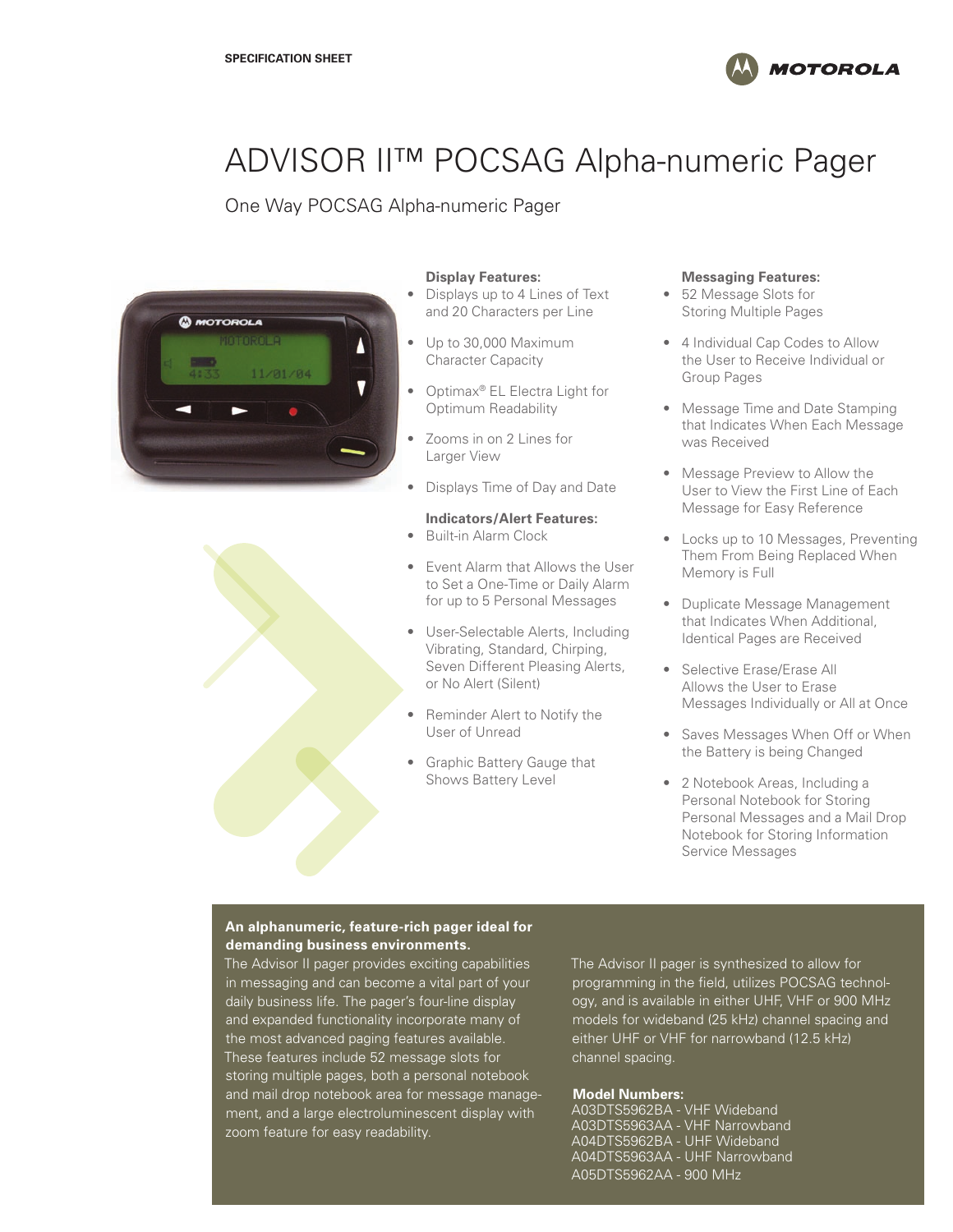

# ADVISOR II™ POCSAG Alpha-numeric Pager

One Way POCSAG Alpha-numeric Pager



#### **Display Features:**

- Displays up to 4 Lines of Text and 20 Characters per Line
- Up to 30,000 Maximum Character Capacity
- Optimax® EL Electra Light for Optimum Readability
- Zooms in on 2 Lines for Larger View
- Displays Time of Day and Date

## **Indicators/Alert Features:**

- Built-in Alarm Clock
- Event Alarm that Allows the User to Set a One-Time or Daily Alarm for up to 5 Personal Messages
- User-Selectable Alerts, Including Vibrating, Standard, Chirping, Seven Different Pleasing Alerts, or No Alert (Silent)
- Reminder Alert to Notify the User of Unread
- Graphic Battery Gauge that Shows Battery Level

#### **Messaging Features:**

- 52 Message Slots for Storing Multiple Pages
- 4 Individual Cap Codes to Allow the User to Receive Individual or Group Pages
- Message Time and Date Stamping that Indicates When Each Message was Received
- Message Preview to Allow the User to View the First Line of Each Message for Easy Reference
- Locks up to 10 Messages, Preventing Them From Being Replaced When Memory is Full
- Duplicate Message Management that Indicates When Additional, Identical Pages are Received
- Selective Erase/Erase All Allows the User to Erase Messages Individually or All at Once
- Saves Messages When Off or When the Battery is being Changed
- 2 Notebook Areas, Including a Personal Notebook for Storing Personal Messages and a Mail Drop Notebook for Storing Information Service Messages

### **An alphanumeric, feature-rich pager ideal for demanding business environments.**

The Advisor II pager provides exciting capabilities in messaging and can become a vital part of your daily business life. The pager's four-line display and expanded functionality incorporate many of the most advanced paging features available. These features include 52 message slots for storing multiple pages, both a personal notebook and mail drop notebook area for message management, and a large electroluminescent display with zoom feature for easy readability.

The Advisor II pager is synthesized to allow for programming in the field, utilizes POCSAG technology, and is available in either UHF, VHF or 900 MHz models for wideband (25 kHz) channel spacing and either UHF or VHF for narrowband (12.5 kHz) channel spacing.

#### **Model Numbers:**

A03DTS5962BA - VHF Wideband A03DTS5963AA - VHF Narrowband A04DTS5962BA - UHF Wideband A04DTS5963AA - UHF Narrowband A05DTS5962AA - 900 MHz